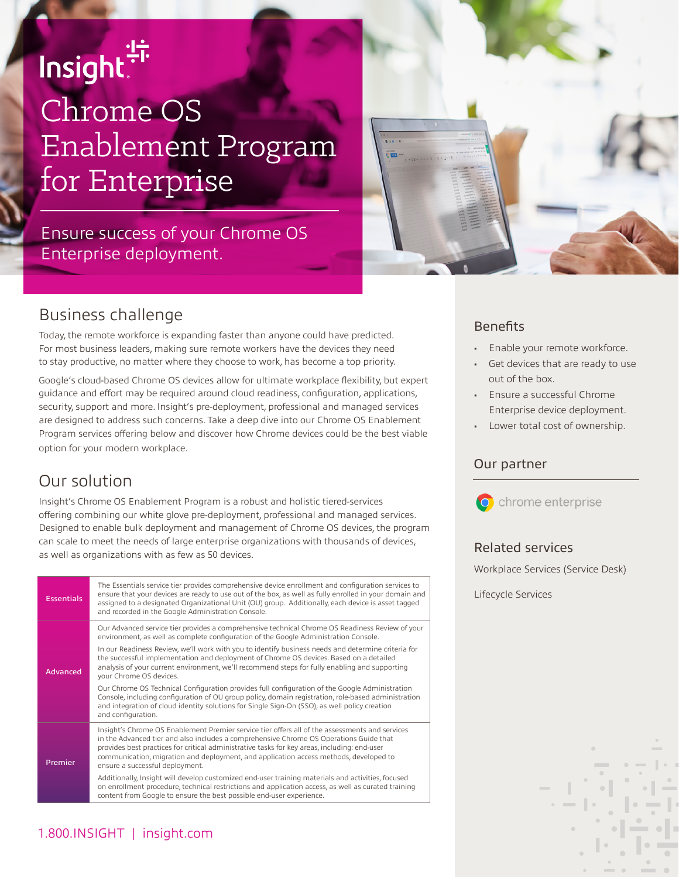# is in the line of the design of the design of the design  $\frac{1}{2}$ Chrome OS Enablement Program for Enterprise

Ensure success of your Chrome OS Enterprise deployment.



## Business challenge

Today, the remote workforce is expanding faster than anyone could have predicted. For most business leaders, making sure remote workers have the devices they need to stay productive, no matter where they choose to work, has become a top priority.

Google's cloud-based Chrome OS devices allow for ultimate workplace flexibility, but expert guidance and effort may be required around cloud readiness, configuration, applications, security, support and more. Insight's pre-deployment, professional and managed services are designed to address such concerns. Take a deep dive into our Chrome OS Enablement Program services offering below and discover how Chrome devices could be the best viable option for your modern workplace.

# Our solution

Insight's Chrome OS Enablement Program is a robust and holistic tiered-services offering combining our white glove pre-deployment, professional and managed services. Designed to enable bulk deployment and management of Chrome OS devices, the program can scale to meet the needs of large enterprise organizations with thousands of devices, as well as organizations with as few as 50 devices.

| <b>Essentials</b> | The Essentials service tier provides comprehensive device enrollment and configuration services to<br>ensure that your devices are ready to use out of the box, as well as fully enrolled in your domain and<br>assigned to a designated Organizational Unit (OU) group. Additionally, each device is asset tagged<br>and recorded in the Google Administration Console.                                             |  |  |  |  |
|-------------------|----------------------------------------------------------------------------------------------------------------------------------------------------------------------------------------------------------------------------------------------------------------------------------------------------------------------------------------------------------------------------------------------------------------------|--|--|--|--|
| Advanced          | Our Advanced service tier provides a comprehensive technical Chrome OS Readiness Review of your<br>environment, as well as complete configuration of the Google Administration Console.                                                                                                                                                                                                                              |  |  |  |  |
|                   | In our Readiness Review, we'll work with you to identify business needs and determine criteria for<br>the successful implementation and deployment of Chrome OS devices. Based on a detailed<br>analysis of your current environment, we'll recommend steps for fully enabling and supporting<br>your Chrome OS devices.                                                                                             |  |  |  |  |
|                   | Our Chrome OS Technical Configuration provides full configuration of the Google Administration<br>Console, including configuration of OU group policy, domain registration, role-based administration<br>and integration of cloud identity solutions for Single Sign-On (SSO), as well policy creation<br>and configuration.                                                                                         |  |  |  |  |
| Premier           | Insight's Chrome OS Enablement Premier service tier offers all of the assessments and services<br>in the Advanced tier and also includes a comprehensive Chrome OS Operations Guide that<br>provides best practices for critical administrative tasks for key areas, including: end-user<br>communication, migration and deployment, and application access methods, developed to<br>ensure a successful deployment. |  |  |  |  |
|                   | Additionally, Insight will develop customized end-user training materials and activities, focused<br>on enrollment procedure, technical restrictions and application access, as well as curated training<br>content from Google to ensure the best possible end-user experience.                                                                                                                                     |  |  |  |  |

#### **Benefits**

- Enable your remote workforce.
- Get devices that are ready to use out of the box.
- Ensure a successful Chrome Enterprise device deployment.
- Lower total cost of ownership.

#### Our partner



#### Related services

Workplace Services (Service Desk)

Lifecycle Services

### 1.800.INSIGHT | insight.com